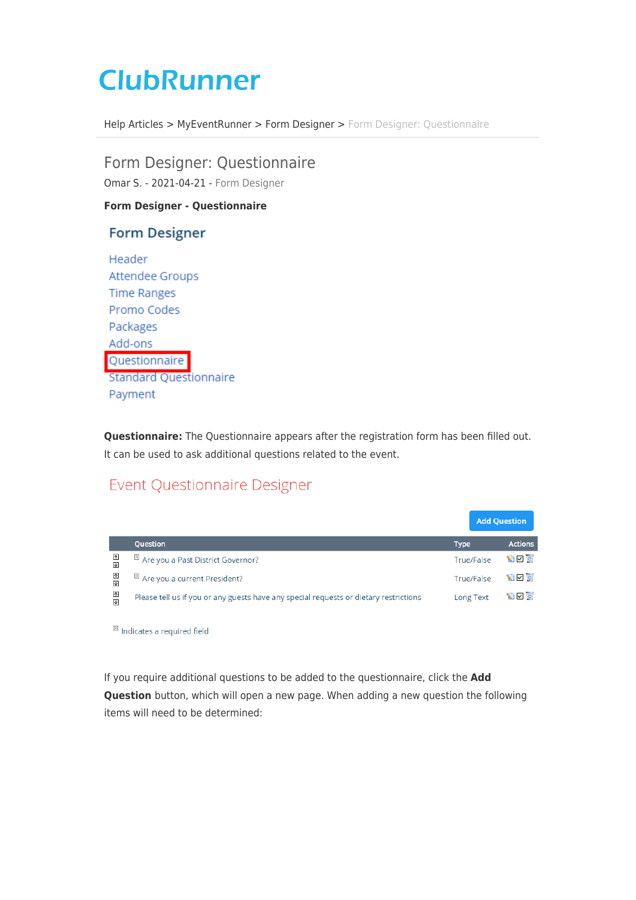## **ClubRunner**

[Help Articles](https://www.clubrunnersupport.com/kb) > [MyEventRunner](https://www.clubrunnersupport.com/kb/myeventrunner) > [Form Designer](https://www.clubrunnersupport.com/kb/form-designer) > [Form Designer: Questionnaire](https://www.clubrunnersupport.com/kb/articles/form-designer-questionnaire)

Form Designer: Questionnaire Omar S. - 2021-04-21 - [Form Designer](https://www.clubrunnersupport.com/kb/form-designer)

**Form Designer - Questionnaire**

## **Form Designer**

Header **Attendee Groups Time Ranges** Promo Codes Packages Add-ons Questionnaire **Standard Questionnaire** Payment

**Questionnaire:** The Questionnaire appears after the registration form has been filled out. It can be used to ask additional questions related to the event.

## **Event Questionnaire Designer**

|                              |                                                                                       |             | <b>Add Question</b> |                |
|------------------------------|---------------------------------------------------------------------------------------|-------------|---------------------|----------------|
|                              | <b>Question</b>                                                                       | <b>Type</b> |                     | <b>Actions</b> |
| 囨<br>围                       | R Are you a Past District Governor?                                                   | True/False  |                     | $\sim$ $\sim$  |
| ⊡<br>∣⊽                      | <sup>[8]</sup> Are you a current President?                                           | True/False  |                     | $\sim$         |
| 丕<br>$\overline{\mathbf{r}}$ | Please tell us if you or any guests have any special requests or dietary restrictions | Long Text   |                     | $\sim$ $\sim$  |

<sup>®</sup> Indicates a required field

If you require additional questions to be added to the questionnaire, click the **Add Question** button, which will open a new page. When adding a new question the following items will need to be determined: